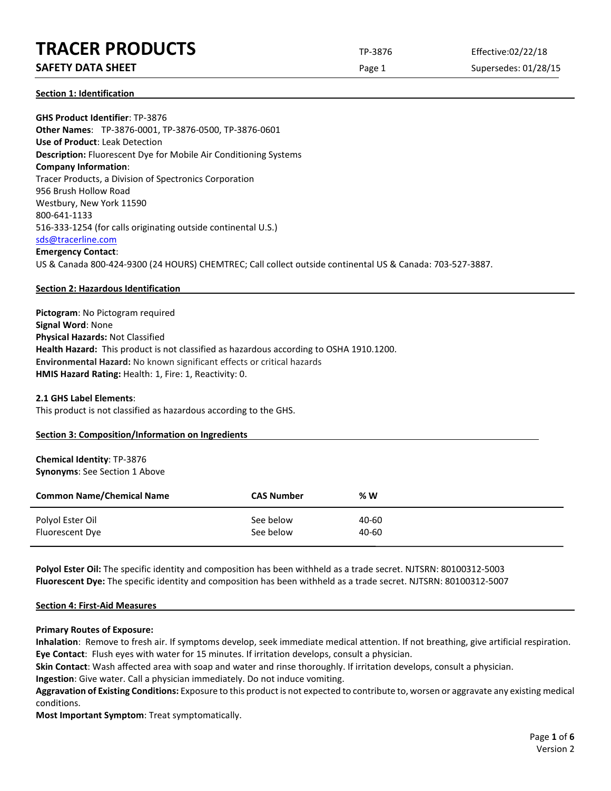# **TRACER PRODUCTS** TP-3876 Effective:02/22/18

# **SAFETY DATA SHEET** SUPERFOUR CONSUMING THE Page 1 Supersedes: 01/28/15

**Section 1: Identification**

**GHS Product Identifier**: TP-3876 **Other Names**: TP-3876-0001, TP-3876-0500, TP-3876-0601 **Use of Product**: Leak Detection **Description:** Fluorescent Dye for Mobile Air Conditioning Systems **Company Information**: Tracer Products, a Division of Spectronics Corporation 956 Brush Hollow Road Westbury, New York 11590 800-641-1133 516-333-1254 (for calls originating outside continental U.S.) [sds@tracerline.com](mailto:sds@tracerline.com) **Emergency Contact**: US & Canada 800-424-9300 (24 HOURS) CHEMTREC; Call collect outside continental US & Canada: 703-527-3887.

# **Section 2: Hazardous Identification**

**Pictogram**: No Pictogram required **Signal Word**: None **Physical Hazards:** Not Classified **Health Hazard:** This product is not classified as hazardous according to OSHA 1910.1200. **Environmental Hazard:** No known significant effects or critical hazards **HMIS Hazard Rating:** Health: 1, Fire: 1, Reactivity: 0.

## **2.1 GHS Label Elements**:

This product is not classified as hazardous according to the GHS.

## **Section 3: Composition/Information on Ingredients**

# **Chemical Identity**: TP-3876 **Synonyms**: See Section 1 Above

| <b>Common Name/Chemical Name</b> | <b>CAS Number</b> | % W   |
|----------------------------------|-------------------|-------|
| Polyol Ester Oil                 | See below         | 40-60 |
| Fluorescent Dye                  | See below         | 40-60 |

**Polyol Ester Oil:** The specific identity and composition has been withheld as a trade secret. NJTSRN: 80100312-5003 **Fluorescent Dye:** The specific identity and composition has been withheld as a trade secret. NJTSRN: 80100312-5007

## **Section 4: First-Aid Measures**

## **Primary Routes of Exposure:**

**Inhalation**: Remove to fresh air. If symptoms develop, seek immediate medical attention. If not breathing, give artificial respiration. **Eye Contact**: Flush eyes with water for 15 minutes. If irritation develops, consult a physician.

**Skin Contact**: Wash affected area with soap and water and rinse thoroughly. If irritation develops, consult a physician.

**Ingestion**: Give water. Call a physician immediately. Do not induce vomiting.

**Aggravation of Existing Conditions:** Exposure to this product is not expected to contribute to, worsen or aggravate any existing medical conditions.

**Most Important Symptom**: Treat symptomatically.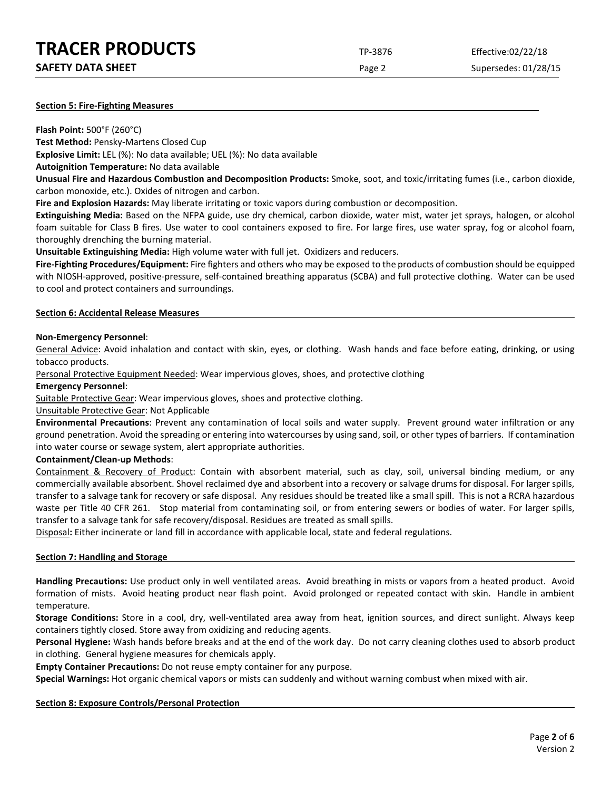| <b>TRACER PRODUCTS</b> | TP-3876 | Effective:02/22/18 |
|------------------------|---------|--------------------|
|                        |         |                    |

Page 2 Supersedes: 01/28/15

# **Section 5: Fire-Fighting Measures**

**Flash Point:** 500°F (260°C)

**Test Method:** Pensky-Martens Closed Cup

**Explosive Limit:** LEL (%): No data available; UEL (%): No data available

**Autoignition Temperature:** No data available

**Unusual Fire and Hazardous Combustion and Decomposition Products:** Smoke, soot, and toxic/irritating fumes (i.e., carbon dioxide, carbon monoxide, etc.). Oxides of nitrogen and carbon.

**Fire and Explosion Hazards:** May liberate irritating or toxic vapors during combustion or decomposition.

**Extinguishing Media:** Based on the NFPA guide, use dry chemical, carbon dioxide, water mist, water jet sprays, halogen, or alcohol foam suitable for Class B fires. Use water to cool containers exposed to fire. For large fires, use water spray, fog or alcohol foam, thoroughly drenching the burning material.

**Unsuitable Extinguishing Media:** High volume water with full jet. Oxidizers and reducers.

**Fire-Fighting Procedures/Equipment:** Fire fighters and others who may be exposed to the products of combustion should be equipped with NIOSH-approved, positive-pressure, self-contained breathing apparatus (SCBA) and full protective clothing. Water can be used to cool and protect containers and surroundings.

# **Section 6: Accidental Release Measures**

# **Non-Emergency Personnel**:

General Advice: Avoid inhalation and contact with skin, eyes, or clothing. Wash hands and face before eating, drinking, or using tobacco products.

Personal Protective Equipment Needed: Wear impervious gloves, shoes, and protective clothing

# **Emergency Personnel**:

Suitable Protective Gear: Wear impervious gloves, shoes and protective clothing.

Unsuitable Protective Gear: Not Applicable

**Environmental Precautions**: Prevent any contamination of local soils and water supply. Prevent ground water infiltration or any ground penetration. Avoid the spreading or entering into watercourses by using sand, soil, or other types of barriers. If contamination into water course or sewage system, alert appropriate authorities.

# **Containment/Clean-up Methods**:

Containment & Recovery of Product: Contain with absorbent material, such as clay, soil, universal binding medium, or any commercially available absorbent. Shovel reclaimed dye and absorbent into a recovery or salvage drums for disposal. For larger spills, transfer to a salvage tank for recovery or safe disposal. Any residues should be treated like a small spill. This is not a RCRA hazardous waste per Title 40 CFR 261. Stop material from contaminating soil, or from entering sewers or bodies of water. For larger spills, transfer to a salvage tank for safe recovery/disposal. Residues are treated as small spills.

Disposal**:** Either incinerate or land fill in accordance with applicable local, state and federal regulations.

# **Section 7: Handling and Storage**

**Handling Precautions:** Use product only in well ventilated areas. Avoid breathing in mists or vapors from a heated product. Avoid formation of mists. Avoid heating product near flash point. Avoid prolonged or repeated contact with skin. Handle in ambient temperature.

**Storage Conditions:** Store in a cool, dry, well-ventilated area away from heat, ignition sources, and direct sunlight. Always keep containers tightly closed. Store away from oxidizing and reducing agents.

**Personal Hygiene:** Wash hands before breaks and at the end of the work day. Do not carry cleaning clothes used to absorb product in clothing. General hygiene measures for chemicals apply.

**Empty Container Precautions:** Do not reuse empty container for any purpose.

**Special Warnings:** Hot organic chemical vapors or mists can suddenly and without warning combust when mixed with air.

# **Section 8: Exposure Controls/Personal Protection**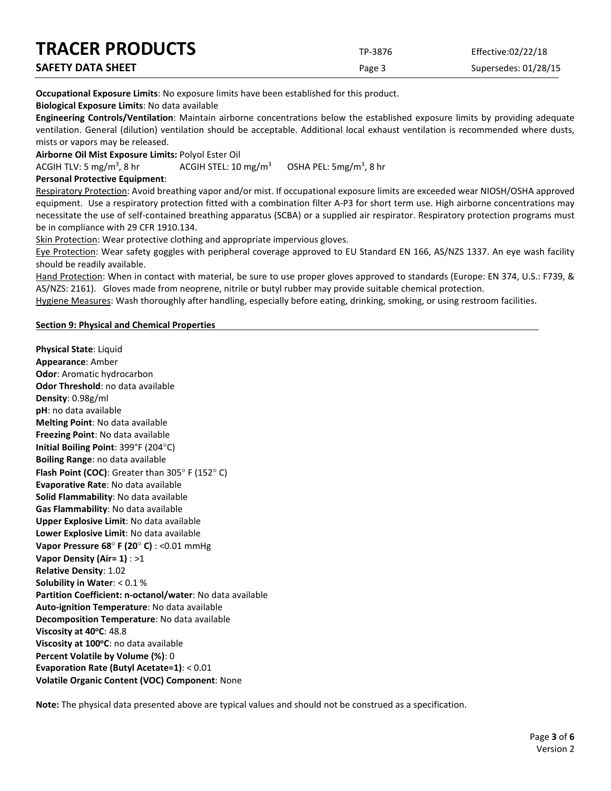| <b>TRACER PRODUCTS</b>   | TP-3876 | Effective:02/22/18   |
|--------------------------|---------|----------------------|
| <b>SAFETY DATA SHEET</b> | Page 3  | Supersedes: 01/28/15 |

**Occupational Exposure Limits**: No exposure limits have been established for this product.

**Biological Exposure Limits**: No data available

**Engineering Controls/Ventilation**: Maintain airborne concentrations below the established exposure limits by providing adequate ventilation. General (dilution) ventilation should be acceptable. Additional local exhaust ventilation is recommended where dusts, mists or vapors may be released.

**Airborne Oil Mist Exposure Limits:** Polyol Ester Oil

ACGIH TLV: 5 mg/m<sup>3</sup>, 8 hr ACGIH STEL:  $10 \text{ mg/m}^3$ OSHA PEL:  $5mg/m<sup>3</sup>$ , 8 hr

# **Personal Protective Equipment**:

Respiratory Protection: Avoid breathing vapor and/or mist. If occupational exposure limits are exceeded wear NIOSH/OSHA approved equipment. Use a respiratory protection fitted with a combination filter A-P3 for short term use. High airborne concentrations may necessitate the use of self-contained breathing apparatus (SCBA) or a supplied air respirator. Respiratory protection programs must be in compliance with 29 CFR 1910.134.

Skin Protection: Wear protective clothing and appropriate impervious gloves.

Eye Protection: Wear safety goggles with peripheral coverage approved to EU Standard EN 166, AS/NZS 1337. An eye wash facility should be readily available.

Hand Protection: When in contact with material, be sure to use proper gloves approved to standards (Europe: EN 374, U.S.: F739, & AS/NZS: 2161). Gloves made from neoprene, nitrile or butyl rubber may provide suitable chemical protection.

Hygiene Measures: Wash thoroughly after handling, especially before eating, drinking, smoking, or using restroom facilities.

# **Section 9: Physical and Chemical Properties**

**Physical State**: Liquid **Appearance**: Amber **Odor**: Aromatic hydrocarbon **Odor Threshold**: no data available **Density**: 0.98g/ml **pH**: no data available **Melting Point**: No data available **Freezing Point**: No data available **Initial Boiling Point**: 399°F (204°C) **Boiling Range**: no data available **Flash Point (COC)**: Greater than 305° F (152° C) **Evaporative Rate**: No data available **Solid Flammability**: No data available **Gas Flammability**: No data available **Upper Explosive Limit**: No data available **Lower Explosive Limit**: No data available **Vapor Pressure 68**° **F (20**° **C)** : <0.01 mmHg **Vapor Density (Air= 1)** : >1 **Relative Density**: 1.02 **Solubility in Water**: < 0.1 % **Partition Coefficient: n-octanol/water**: No data available **Auto-ignition Temperature**: No data available **Decomposition Temperature**: No data available **Viscosity at 40°C: 48.8 Viscosity at 100°C**: no data available **Percent Volatile by Volume (%)**: 0 **Evaporation Rate (Butyl Acetate=1)**: < 0.01 **Volatile Organic Content (VOC) Component**: None

**Note:** The physical data presented above are typical values and should not be construed as a specification.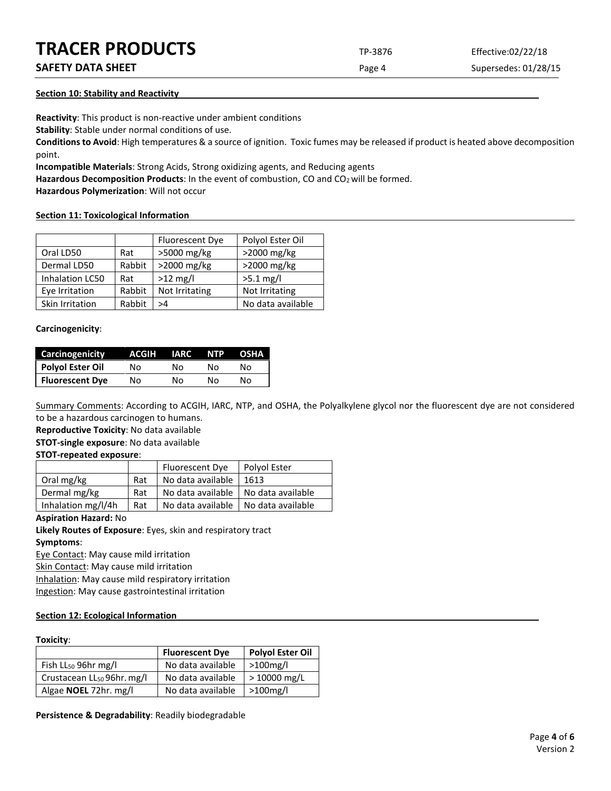# **TRACER PRODUCTS** TP-3876 Effective:02/22/18

# **SAFETY DATA SHEET** SUPERFOUR SAFET ASSEMBLY 2009 THE Page 4 Supersedes: 01/28/15

# **Section 10: Stability and Reactivity**

**Reactivity**: This product is non-reactive under ambient conditions

**Stability**: Stable under normal conditions of use.

**Conditions to Avoid**: High temperatures & a source of ignition. Toxic fumes may be released if product is heated above decomposition point.

**Incompatible Materials**: Strong Acids, Strong oxidizing agents, and Reducing agents

Hazardous Decomposition Products: In the event of combustion, CO and CO<sub>2</sub> will be formed.

**Hazardous Polymerization**: Will not occur

# **Section 11: Toxicological Information**

|                 |        | <b>Fluorescent Dye</b> | Polyol Ester Oil  |
|-----------------|--------|------------------------|-------------------|
| Oral LD50       | Rat    | >5000 mg/kg            | >2000 mg/kg       |
| Dermal LD50     | Rabbit | >2000 mg/kg            | >2000 mg/kg       |
| Inhalation LC50 | Rat    | $>12$ mg/l             | $>5.1$ mg/l       |
| Eye Irritation  | Rabbit | Not Irritating         | Not Irritating    |
| Skin Irritation | Rabbit | >4                     | No data available |

# **Carcinogenicity**:

| <b>Carcinogenicity</b> | ACGIH | <b>IARC</b> | <b>NTP</b> | <b>OSHA</b> |
|------------------------|-------|-------------|------------|-------------|
| Polyol Ester Oil       | No    | N٥          | N٥         | N٥          |
| <b>Fluorescent Dye</b> | No    | Nο          | N٥         | N٥          |

Summary Comments: According to ACGIH, IARC, NTP, and OSHA, the Polyalkylene glycol nor the fluorescent dye are not considered to be a hazardous carcinogen to humans.

**Reproductive Toxicity**: No data available

**STOT-single exposure**: No data available

# **STOT-repeated exposure**:

|                    |     | Fluorescent Dye                       | Polyol Ester |
|--------------------|-----|---------------------------------------|--------------|
| Oral mg/kg         | Rat | No data available                     | 1613         |
| Dermal mg/kg       | Rat | No data available   No data available |              |
| Inhalation mg/l/4h | Rat | No data available   No data available |              |

## **Aspiration Hazard:** No

**Likely Routes of Exposure**: Eyes, skin and respiratory tract **Symptoms**:

Eye Contact: May cause mild irritation

Skin Contact: May cause mild irritation

Inhalation: May cause mild respiratory irritation

Ingestion: May cause gastrointestinal irritation

# **Section 12: Ecological Information**

## **Toxicity**:

|                                        | <b>Fluorescent Dye</b> | <b>Polyol Ester Oil</b> |
|----------------------------------------|------------------------|-------------------------|
| Fish $LL_{50}$ 96hr mg/l               | No data available      | $>100$ mg/l             |
| Crustacean LL <sub>50</sub> 96hr. mg/l | No data available      | $>10000$ mg/L           |
| Algae NOEL 72hr. mg/l                  | No data available      | $>100$ mg/l             |

**Persistence & Degradability**: Readily biodegradable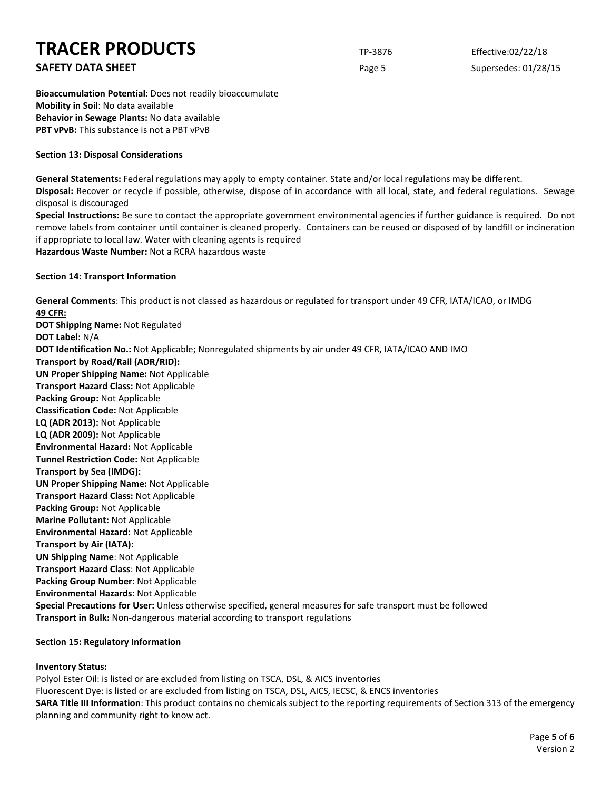# **TRACER PRODUCTS** TP-3876 Effective:02/22/18 **SAFETY DATA SHEET** SUPERFOUR CONSUMING THE Page 5 Supersedes: 01/28/15 **Bioaccumulation Potential**: Does not readily bioaccumulate

**Mobility in Soil**: No data available **Behavior in Sewage Plants:** No data available **PBT vPvB:** This substance is not a PBT vPvB

# **Section 13: Disposal Considerations**

**General Statements:** Federal regulations may apply to empty container. State and/or local regulations may be different.

**Disposal:** Recover or recycle if possible, otherwise, dispose of in accordance with all local, state, and federal regulations. Sewage disposal is discouraged

**Special Instructions:** Be sure to contact the appropriate government environmental agencies if further guidance is required. Do not remove labels from container until container is cleaned properly. Containers can be reused or disposed of by landfill or incineration if appropriate to local law. Water with cleaning agents is required

**Hazardous Waste Number:** Not a RCRA hazardous waste

## **Section 14: Transport Information**

**General Comments**: This product is not classed as hazardous or regulated for transport under 49 CFR, IATA/ICAO, or IMDG **49 CFR: DOT Shipping Name:** Not Regulated **DOT Label:** N/A **DOT Identification No.:** Not Applicable; Nonregulated shipments by air under 49 CFR, IATA/ICAO AND IMO **Transport by Road/Rail (ADR/RID): UN Proper Shipping Name:** Not Applicable **Transport Hazard Class:** Not Applicable **Packing Group:** Not Applicable **Classification Code:** Not Applicable **LQ (ADR 2013):** Not Applicable **LQ (ADR 2009):** Not Applicable **Environmental Hazard:** Not Applicable **Tunnel Restriction Code:** Not Applicable **Transport by Sea (IMDG): UN Proper Shipping Name:** Not Applicable **Transport Hazard Class:** Not Applicable **Packing Group:** Not Applicable **Marine Pollutant:** Not Applicable **Environmental Hazard:** Not Applicable **Transport by Air (IATA): UN Shipping Name**: Not Applicable **Transport Hazard Class**: Not Applicable **Packing Group Number**: Not Applicable **Environmental Hazards**: Not Applicable **Special Precautions for User:** Unless otherwise specified, general measures for safe transport must be followed **Transport in Bulk:** Non-dangerous material according to transport regulations

## **Section 15: Regulatory Information**

# **Inventory Status:**

Polyol Ester Oil: is listed or are excluded from listing on TSCA, DSL, & AICS inventories Fluorescent Dye: is listed or are excluded from listing on TSCA, DSL, AICS, IECSC, & ENCS inventories **SARA Title III Information**: This product contains no chemicals subject to the reporting requirements of Section 313 of the emergency planning and community right to know act.